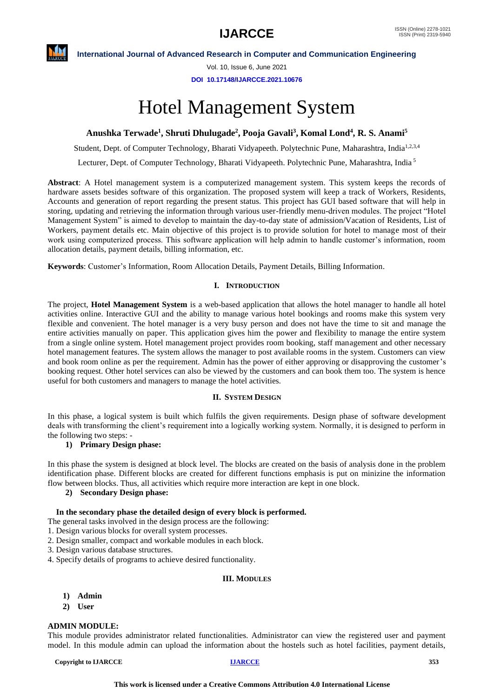**International Journal of Advanced Research in Computer and Communication Engineering**

Vol. 10, Issue 6, June 2021

**DOI 10.17148/IJARCCE.2021.10676**

# Hotel Management System

### **Anushka Terwade<sup>1</sup> , Shruti Dhulugade<sup>2</sup> , Pooja Gavali<sup>3</sup> , Komal Lond<sup>4</sup> , R. S. Anami<sup>5</sup>**

Student, Dept. of Computer Technology, Bharati Vidyapeeth. Polytechnic Pune, Maharashtra, India<sup>1,2,3,4</sup>

Lecturer, Dept. of Computer Technology, Bharati Vidyapeeth. Polytechnic Pune, Maharashtra, India <sup>5</sup>

**Abstract**: A Hotel management system is a computerized management system. This system keeps the records of hardware assets besides software of this organization. The proposed system will keep a track of Workers, Residents, Accounts and generation of report regarding the present status. This project has GUI based software that will help in storing, updating and retrieving the information through various user-friendly menu-driven modules. The project "Hotel Management System" is aimed to develop to maintain the day-to-day state of admission/Vacation of Residents, List of Workers, payment details etc. Main objective of this project is to provide solution for hotel to manage most of their work using computerized process. This software application will help admin to handle customer's information, room allocation details, payment details, billing information, etc.

**Keywords**: Customer's Information, Room Allocation Details, Payment Details, Billing Information.

#### **I. INTRODUCTION**

The project, **Hotel Management System** is a web-based application that allows the hotel manager to handle all hotel activities online. Interactive GUI and the ability to manage various hotel bookings and rooms make this system very flexible and convenient. The hotel manager is a very busy person and does not have the time to sit and manage the entire activities manually on paper. This application gives him the power and flexibility to manage the entire system from a single online system. Hotel management project provides room booking, staff management and other necessary hotel management features. The system allows the manager to post available rooms in the system. Customers can view and book room online as per the requirement. Admin has the power of either approving or disapproving the customer's booking request. Other hotel services can also be viewed by the customers and can book them too. The system is hence useful for both customers and managers to manage the hotel activities.

#### **II. SYSTEM DESIGN**

In this phase, a logical system is built which fulfils the given requirements. Design phase of software development deals with transforming the client's requirement into a logically working system. Normally, it is designed to perform in the following two steps: -

#### **1) Primary Design phase:**

In this phase the system is designed at block level. The blocks are created on the basis of analysis done in the problem identification phase. Different blocks are created for different functions emphasis is put on minizine the information flow between blocks. Thus, all activities which require more interaction are kept in one block.

#### **2) Secondary Design phase:**

#### **In the secondary phase the detailed design of every block is performed.**

- The general tasks involved in the design process are the following:
- 1. Design various blocks for overall system processes.
- 2. Design smaller, compact and workable modules in each block.
- 3. Design various database structures.
- 4. Specify details of programs to achieve desired functionality.

#### **III. MODULES**

- **1) Admin**
- **2) User**

#### **ADMIN MODULE:**

This module provides administrator related functionalities. Administrator can view the registered user and payment model. In this module admin can upload the information about the hostels such as hotel facilities, payment details,

**Copyright to IJARCCE [IJARCCE](https://ijarcce.com/) <sup>353</sup>**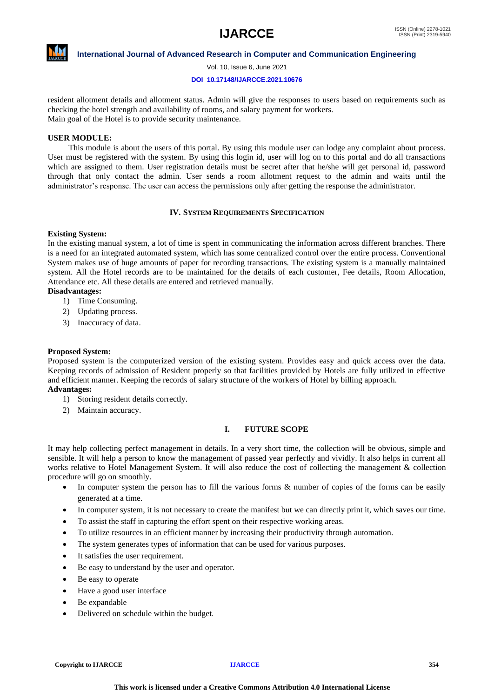

**International Journal of Advanced Research in Computer and Communication Engineering**

Vol. 10, Issue 6, June 2021

#### **DOI 10.17148/IJARCCE.2021.10676**

resident allotment details and allotment status. Admin will give the responses to users based on requirements such as checking the hotel strength and availability of rooms, and salary payment for workers. Main goal of the Hotel is to provide security maintenance.

#### **USER MODULE:**

 This module is about the users of this portal. By using this module user can lodge any complaint about process. User must be registered with the system. By using this login id, user will log on to this portal and do all transactions which are assigned to them. User registration details must be secret after that he/she will get personal id, password through that only contact the admin. User sends a room allotment request to the admin and waits until the administrator's response. The user can access the permissions only after getting the response the administrator.

#### **IV. SYSTEM REQUIREMENTS SPECIFICATION**

#### **Existing System:**

In the existing manual system, a lot of time is spent in communicating the information across different branches. There is a need for an integrated automated system, which has some centralized control over the entire process. Conventional System makes use of huge amounts of paper for recording transactions. The existing system is a manually maintained system. All the Hotel records are to be maintained for the details of each customer, Fee details, Room Allocation, Attendance etc. All these details are entered and retrieved manually.

#### **Disadvantages:**

- 1) Time Consuming.
- 2) Updating process.
- 3) Inaccuracy of data.

#### **Proposed System:**

Proposed system is the computerized version of the existing system. Provides easy and quick access over the data. Keeping records of admission of Resident properly so that facilities provided by Hotels are fully utilized in effective and efficient manner. Keeping the records of salary structure of the workers of Hotel by billing approach.

#### **Advantages:**

- 1) Storing resident details correctly.
- 2) Maintain accuracy.

#### **I. FUTURE SCOPE**

It may help collecting perfect management in details. In a very short time, the collection will be obvious, simple and sensible. It will help a person to know the management of passed year perfectly and vividly. It also helps in current all works relative to Hotel Management System. It will also reduce the cost of collecting the management & collection procedure will go on smoothly.

- In computer system the person has to fill the various forms & number of copies of the forms can be easily generated at a time.
- In computer system, it is not necessary to create the manifest but we can directly print it, which saves our time.
- To assist the staff in capturing the effort spent on their respective working areas.
- To utilize resources in an efficient manner by increasing their productivity through automation.
- The system generates types of information that can be used for various purposes.
- It satisfies the user requirement.
- Be easy to understand by the user and operator.
- Be easy to operate
- Have a good user interface
- Be expandable
- Delivered on schedule within the budget.

**Copyright to IJARCCE [IJARCCE](https://ijarcce.com/) <sup>354</sup>**